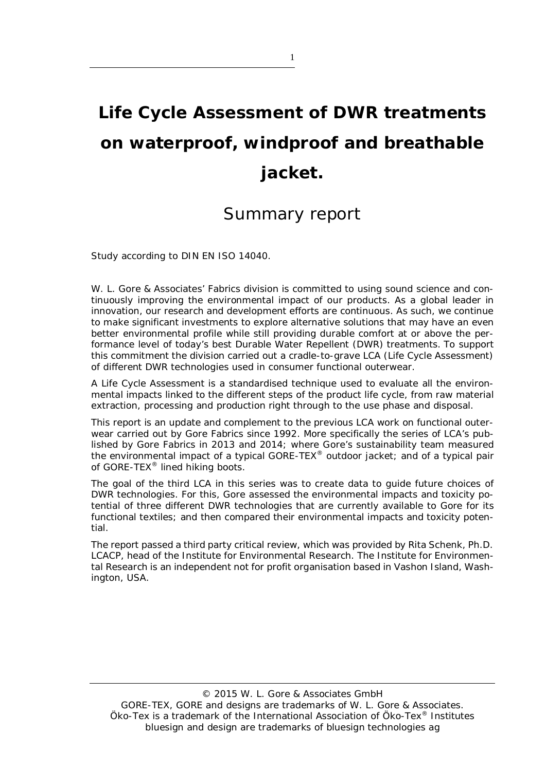# **Life Cycle Assessment of DWR treatments on waterproof, windproof and breathable jacket.**

### Summary report

Study according to DIN EN ISO 14040.

W. L. Gore & Associates' Fabrics division is committed to using sound science and continuously improving the environmental impact of our products. As a global leader in innovation, our research and development efforts are continuous. As such, we continue to make significant investments to explore alternative solutions that may have an even better environmental profile while still providing durable comfort at or above the performance level of today's best Durable Water Repellent (DWR) treatments. To support this commitment the division carried out a cradle-to-grave LCA (Life Cycle Assessment) of different DWR technologies used in consumer functional outerwear.

A Life Cycle Assessment is a standardised technique used to evaluate all the environmental impacts linked to the different steps of the product life cycle, from raw material extraction, processing and production right through to the use phase and disposal.

This report is an update and complement to the previous LCA work on functional outerwear carried out by Gore Fabrics since 1992. More specifically the series of LCA's published by Gore Fabrics in 2013 and 2014; where Gore's sustainability team measured the environmental impact of a typical GORE-TEX® outdoor jacket; and of a typical pair of GORE-TEX® lined hiking boots.

The goal of the third LCA in this series was to create data to guide future choices of DWR technologies. For this, Gore assessed the environmental impacts and toxicity potential of three different DWR technologies that are currently available to Gore for its functional textiles; and then compared their environmental impacts and toxicity potential.

The report passed a third party critical review, which was provided by Rita Schenk, Ph.D. LCACP, head of the Institute for Environmental Research. The Institute for Environmental Research is an independent not for profit organisation based in Vashon Island, Washington, USA.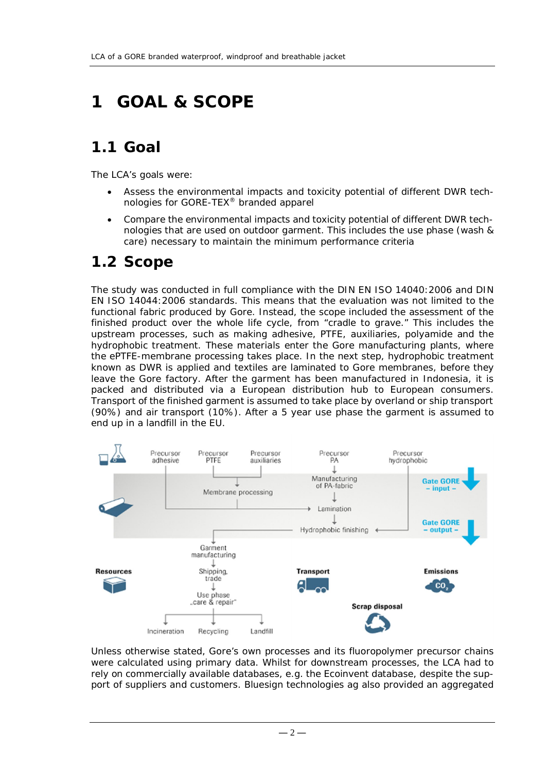## **1 GOAL & SCOPE**

### **1.1 Goal**

The LCA's goals were:

- Assess the environmental impacts and toxicity potential of different DWR technologies for GORE-TEX® branded apparel
- Compare the environmental impacts and toxicity potential of different DWR technologies that are used on outdoor garment. This includes the use phase (wash & care) necessary to maintain the minimum performance criteria

### **1.2 Scope**

The study was conducted in full compliance with the DIN EN ISO 14040:2006 and DIN EN ISO 14044:2006 standards. This means that the evaluation was not limited to the functional fabric produced by Gore. Instead, the scope included the assessment of the finished product over the whole life cycle, from "cradle to grave." This includes the upstream processes, such as making adhesive, PTFE, auxiliaries, polyamide and the hydrophobic treatment. These materials enter the Gore manufacturing plants, where the ePTFE-membrane processing takes place. In the next step, hydrophobic treatment known as DWR is applied and textiles are laminated to Gore membranes, before they leave the Gore factory. After the garment has been manufactured in Indonesia, it is packed and distributed via a European distribution hub to European consumers. Transport of the finished garment is assumed to take place by overland or ship transport (90%) and air transport (10%). After a 5 year use phase the garment is assumed to end up in a landfill in the EU.



Unless otherwise stated, Gore's own processes and its fluoropolymer precursor chains were calculated using primary data. Whilst for downstream processes, the LCA had to rely on commercially available databases, e.g. the Ecoinvent database, despite the support of suppliers and customers. Bluesign technologies ag also provided an aggregated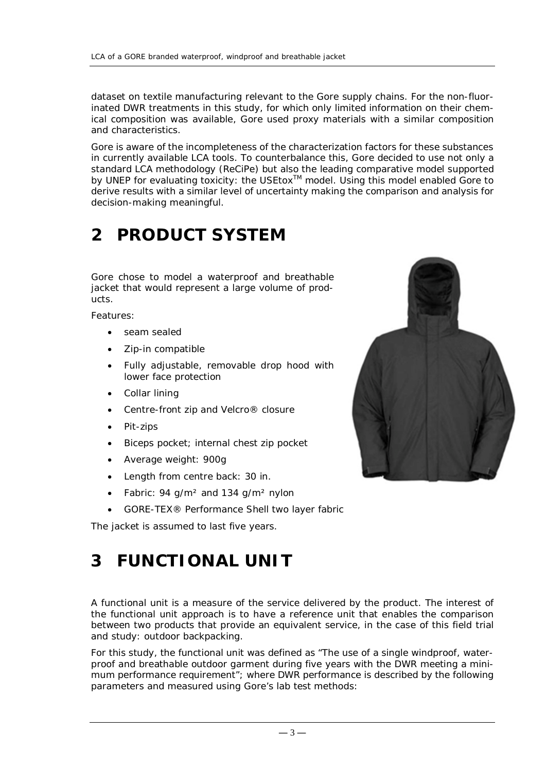dataset on textile manufacturing relevant to the Gore supply chains. For the non-fluorinated DWR treatments in this study, for which only limited information on their chemical composition was available, Gore used proxy materials with a similar composition and characteristics.

Gore is aware of the incompleteness of the characterization factors for these substances in currently available LCA tools. To counterbalance this, Gore decided to use not only a standard LCA methodology (ReCiPe) but also the leading comparative model supported by UNEP for evaluating toxicity: the USEtox<sup>™</sup> model. Using this model enabled Gore to derive results with a similar level of uncertainty making the comparison and analysis for decision-making meaningful.

## **2 PRODUCT SYSTEM**

Gore chose to model a waterproof and breathable jacket that would represent a large volume of products.

Features:

- seam sealed
- Zip-in compatible
- Fully adjustable, removable drop hood with lower face protection
- Collar lining
- Centre-front zip and Velcro<sup>®</sup> closure
- Pit-zips
- Biceps pocket; internal chest zip pocket
- Average weight: 900g
- Length from centre back: 30 in.
- Fabric: 94 g/m<sup>2</sup> and 134 g/m<sup>2</sup> nylon
- GORE-TEX® Performance Shell two layer fabric

The jacket is assumed to last five years.

## **3 FUNCTIONAL UNIT**

A functional unit is a measure of the service delivered by the product. The interest of the functional unit approach is to have a reference unit that enables the comparison between two products that provide an equivalent service, in the case of this field trial and study: outdoor backpacking.

For this study, the functional unit was defined as "The use of a single windproof, waterproof and breathable outdoor garment during five years with the DWR meeting a minimum performance requirement"; where DWR performance is described by the following parameters and measured using Gore's lab test methods:

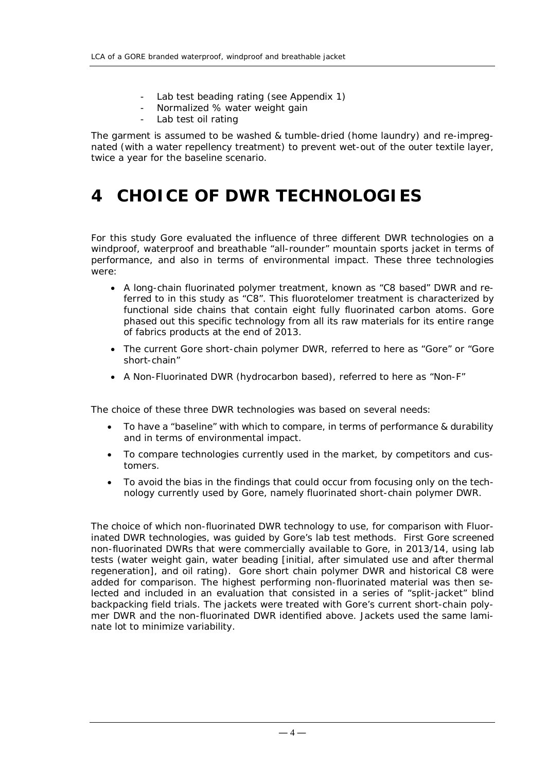- Lab test beading rating (see Appendix 1)
- Normalized % water weight gain
- Lab test oil rating

The garment is assumed to be washed & tumble-dried (home laundry) and re-impregnated (with a water repellency treatment) to prevent wet-out of the outer textile layer, twice a year for the baseline scenario.

### **4 CHOICE OF DWR TECHNOLOGIES**

For this study Gore evaluated the influence of three different DWR technologies on a windproof, waterproof and breathable "all-rounder" mountain sports jacket in terms of performance, and also in terms of environmental impact. These three technologies were:

- A long-chain fluorinated polymer treatment, known as "C8 based" DWR and referred to in this study as "C8". This fluorotelomer treatment is characterized by functional side chains that contain eight fully fluorinated carbon atoms. Gore phased out this specific technology from all its raw materials for its entire range of fabrics products at the end of 2013.
- The current Gore short-chain polymer DWR, referred to here as "Gore" or "Gore" short-chain"
- A Non-Fluorinated DWR (hydrocarbon based), referred to here as "Non-F"

The choice of these three DWR technologies was based on several needs:

- To have a "baseline" with which to compare, in terms of performance & durability and in terms of environmental impact.
- To compare technologies currently used in the market, by competitors and customers.
- To avoid the bias in the findings that could occur from focusing only on the technology currently used by Gore, namely fluorinated short-chain polymer DWR.

The choice of which non-fluorinated DWR technology to use, for comparison with Fluorinated DWR technologies, was guided by Gore's lab test methods. First Gore screened non-fluorinated DWRs that were commercially available to Gore, in 2013/14, using lab tests (water weight gain, water beading [initial, after simulated use and after thermal regeneration], and oil rating). Gore short chain polymer DWR and historical C8 were added for comparison. The highest performing non-fluorinated material was then selected and included in an evaluation that consisted in a series of "split-jacket" blind backpacking field trials. The jackets were treated with Gore's current short-chain polymer DWR and the non-fluorinated DWR identified above. Jackets used the same laminate lot to minimize variability.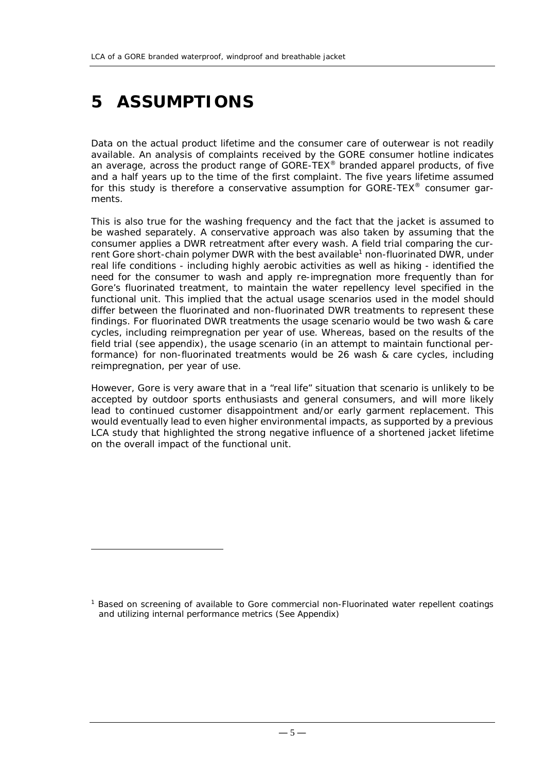## **5 ASSUMPTIONS**

<u>.</u>

Data on the actual product lifetime and the consumer care of outerwear is not readily available. An analysis of complaints received by the GORE consumer hotline indicates an average, across the product range of GORE-TEX® branded apparel products, of five and a half years up to the time of the first complaint. The five years lifetime assumed for this study is therefore a conservative assumption for GORE-TEX<sup>®</sup> consumer garments.

This is also true for the washing frequency and the fact that the jacket is assumed to be washed separately. A conservative approach was also taken by assuming that the consumer applies a DWR retreatment after every wash. A field trial comparing the current Gore short-chain polymer DWR with the best available<sup>1</sup> non-fluorinated DWR, under real life conditions - including highly aerobic activities as well as hiking - identified the need for the consumer to wash and apply re-impregnation more frequently than for Gore's fluorinated treatment, to maintain the water repellency level specified in the functional unit. This implied that the actual usage scenarios used in the model should differ between the fluorinated and non-fluorinated DWR treatments to represent these findings. For fluorinated DWR treatments the usage scenario would be two wash & care cycles, including reimpregnation per year of use. Whereas, based on the results of the field trial (see appendix), the usage scenario (in an attempt to maintain functional performance) for non-fluorinated treatments would be 26 wash & care cycles, including reimpregnation, per year of use.

However, Gore is very aware that in a "real life" situation that scenario is unlikely to be accepted by outdoor sports enthusiasts and general consumers, and will more likely lead to continued customer disappointment and/or early garment replacement. This would eventually lead to even higher environmental impacts, as supported by a previous LCA study that highlighted the strong negative influence of a shortened jacket lifetime on the overall impact of the functional unit.

<sup>1</sup> Based on screening of available to Gore commercial non-Fluorinated water repellent coatings and utilizing internal performance metrics (See Appendix)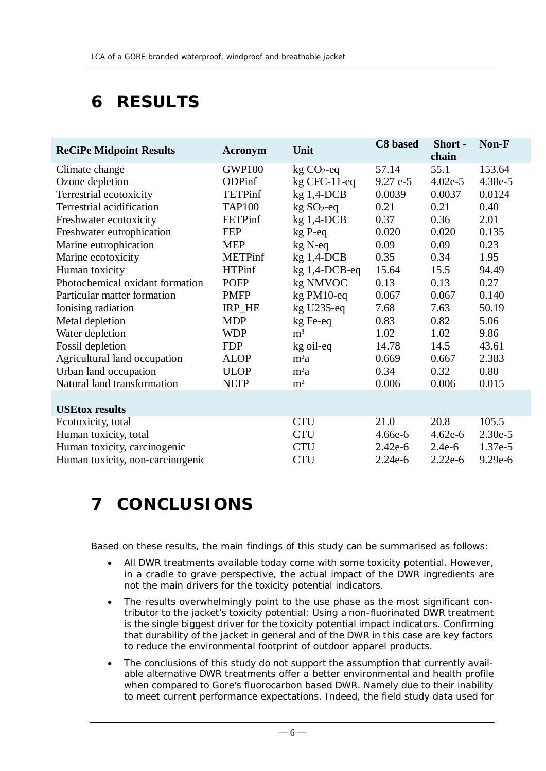## **6 RESULTS**

| <b>ReCiPe Midpoint Results</b>   | <b>Acronym</b> | Unit             | C8 based  | Short -<br>chain | Non-F   |
|----------------------------------|----------------|------------------|-----------|------------------|---------|
| Climate change                   | <b>GWP100</b>  | $kg CO2$ -eq     | 57.14     | 55.1             | 153.64  |
| Ozone depletion                  | ODPinf         | $kg$ CFC-11-eq   | $9.27e-5$ | $4.02e-5$        | 4.38e-5 |
| Terrestrial ecotoxicity          | <b>TETPinf</b> | $kg$ 1,4-DCB     | 0.0039    | 0.0037           | 0.0124  |
| Terrestrial acidification        | <b>TAP100</b>  | $kg SO2-eq$      | 0.21      | 0.21             | 0.40    |
| Freshwater ecotoxicity           | <b>FETPinf</b> | $kg$ 1,4-DCB     | 0.37      | 0.36             | 2.01    |
| Freshwater eutrophication        | <b>FEP</b>     | kg P-eq          | 0.020     | 0.020            | 0.135   |
| Marine eutrophication            | <b>MEP</b>     | kg N-eq          | 0.09      | 0.09             | 0.23    |
| Marine ecotoxicity               | <b>METPinf</b> | $kg$ 1,4-DCB     | 0.35      | 0.34             | 1.95    |
| Human toxicity                   | <b>HTPinf</b>  | $kg$ 1,4-DCB-eq  | 15.64     | 15.5             | 94.49   |
| Photochemical oxidant formation  | <b>POFP</b>    | kg NMVOC         | 0.13      | 0.13             | 0.27    |
| Particular matter formation      | <b>PMFP</b>    | kg PM10-eq       | 0.067     | 0.067            | 0.140   |
| Ionising radiation               | IRP_HE         | $kg$ U235-eq     | 7.68      | 7.63             | 50.19   |
| Metal depletion                  | <b>MDP</b>     | kg Fe-eq         | 0.83      | 0.82             | 5.06    |
| Water depletion                  | <b>WDP</b>     | m <sup>3</sup>   | 1.02      | 1.02             | 9.86    |
| Fossil depletion                 | <b>FDP</b>     | kg oil-eq        | 14.78     | 14.5             | 43.61   |
| Agricultural land occupation     | <b>ALOP</b>    | m <sup>2</sup> a | 0.669     | 0.667            | 2.383   |
| Urban land occupation            | <b>ULOP</b>    | m <sup>2</sup> a | 0.34      | 0.32             | 0.80    |
| Natural land transformation      | <b>NLTP</b>    | m <sup>2</sup>   | 0.006     | 0.006            | 0.015   |
| <b>USEtox results</b>            |                |                  |           |                  |         |
| Ecotoxicity, total               |                | <b>CTU</b>       | 21.0      | 20.8             | 105.5   |
| Human toxicity, total            |                | <b>CTU</b>       | $4.66e-6$ | $4.62e-6$        | 2.30e-5 |
| Human toxicity, carcinogenic     |                | <b>CTU</b>       | $2.42e-6$ | $2.4e-6$         | 1.37e-5 |
| Human toxicity, non-carcinogenic |                | <b>CTU</b>       | $2.24e-6$ | $2.22e-6$        | 9.29e-6 |

### **7 CONCLUSIONS**

Based on these results, the main findings of this study can be summarised as follows:

- All DWR treatments available today come with some toxicity potential. However, in a cradle to grave perspective, the actual impact of the DWR ingredients are not the main drivers for the toxicity potential indicators.
- The results overwhelmingly point to the use phase as the most significant contributor to the jacket's toxicity potential: Using a non-fluorinated DWR treatment is the single biggest driver for the toxicity potential impact indicators. Confirming that durability of the jacket in general and of the DWR in this case are key factors to reduce the environmental footprint of outdoor apparel products.
- The conclusions of this study do not support the assumption that currently available alternative DWR treatments offer a better environmental and health profile when compared to Gore's fluorocarbon based DWR. Namely due to their inability to meet current performance expectations. Indeed, the field study data used for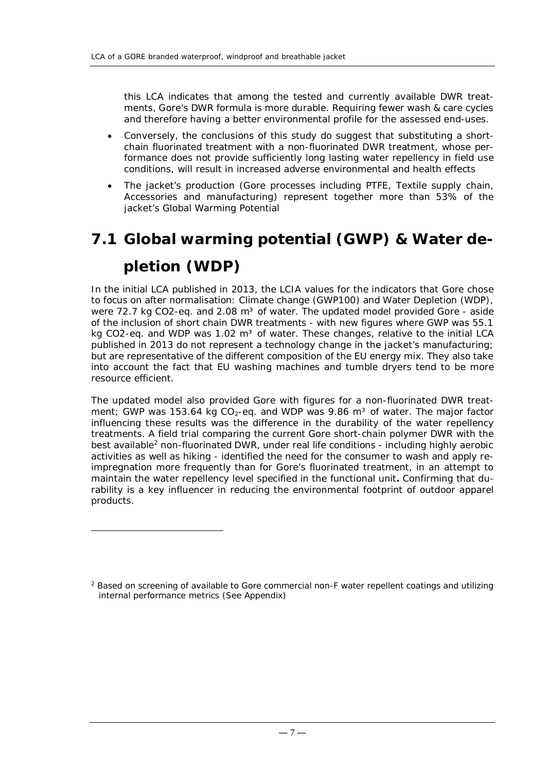this LCA indicates that among the tested and currently available DWR treatments, Gore's DWR formula is more durable. Requiring fewer wash & care cycles and therefore having a better environmental profile for the assessed end-uses.

- Conversely, the conclusions of this study do suggest that substituting a shortchain fluorinated treatment with a non-fluorinated DWR treatment, whose performance does not provide sufficiently long lasting water repellency in field use conditions, will result in increased adverse environmental and health effects
- The jacket's production (Gore processes including PTFE, Textile supply chain, Accessories and manufacturing) represent together more than 53% of the jacket's Global Warming Potential

# **7.1 Global warming potential (GWP) & Water depletion (WDP)**

In the initial LCA published in 2013, the LCIA values for the indicators that Gore chose to focus on after normalisation: Climate change (GWP100) and Water Depletion (WDP), were 72.7 kg CO2-eq. and 2.08  $m<sup>3</sup>$  of water. The updated model provided Gore - aside of the inclusion of short chain DWR treatments - with new figures where GWP was 55.1 kg CO2-eq. and WDP was  $1.02 \text{ m}^3$  of water. These changes, relative to the initial LCA published in 2013 do not represent a technology change in the jacket's manufacturing; but are representative of the different composition of the EU energy mix. They also take into account the fact that EU washing machines and tumble dryers tend to be more resource efficient.

The updated model also provided Gore with figures for a non-fluorinated DWR treatment; GWP was 153.64 kg  $CO<sub>2</sub>$ -eq. and WDP was 9.86 m<sup>3</sup> of water. The major factor influencing these results was the difference in the durability of the water repellency treatments. A field trial comparing the current Gore short-chain polymer DWR with the best available<sup>2</sup> non-fluorinated DWR, under real life conditions - including highly aerobic activities as well as hiking - identified the need for the consumer to wash and apply reimpregnation more frequently than for Gore's fluorinated treatment, in an attempt to maintain the water repellency level specified in the functional unit**.** Confirming that durability is a key influencer in reducing the environmental footprint of outdoor apparel products.

1

<sup>&</sup>lt;sup>2</sup> Based on screening of available to Gore commercial non-F water repellent coatings and utilizing internal performance metrics (See Appendix)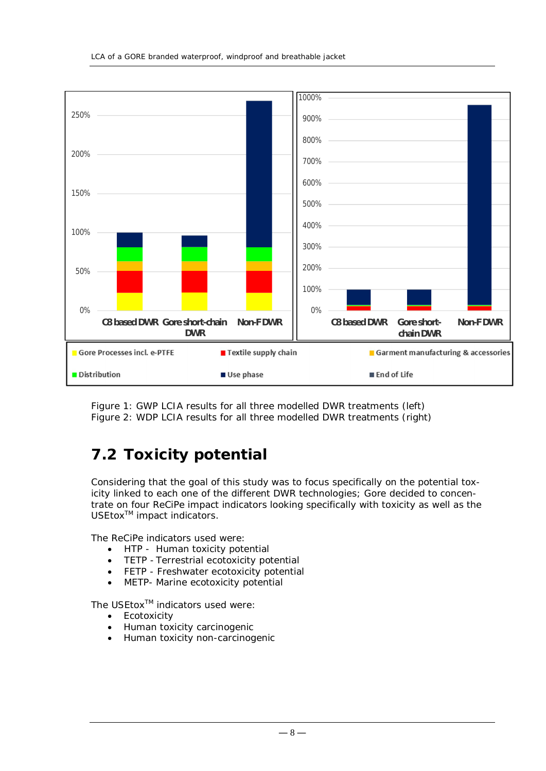

Figure 1: GWP LCIA results for all three modelled DWR treatments (left) Figure 2: WDP LCIA results for all three modelled DWR treatments (right)

### **7.2 Toxicity potential**

Considering that the goal of this study was to focus specifically on the potential toxicity linked to each one of the different DWR technologies; Gore decided to concentrate on four ReCiPe impact indicators looking specifically with toxicity as well as the USEtox<sup>™</sup> impact indicators.

The ReCiPe indicators used were:

- HTP Human toxicity potential
- TETP Terrestrial ecotoxicity potential
- FETP Freshwater ecotoxicity potential
- METP- Marine ecotoxicity potential

The USEtox<sup>™</sup> indicators used were:

- Ecotoxicity
- Human toxicity carcinogenic
- Human toxicity non-carcinogenic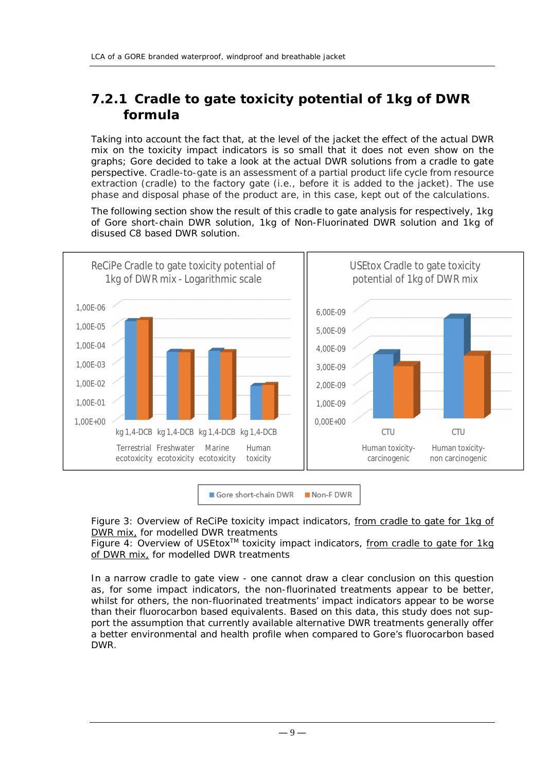### **7.2.1 Cradle to gate toxicity potential of 1kg of DWR formula**

Taking into account the fact that, at the level of the jacket the effect of the actual DWR mix on the toxicity impact indicators is so small that it does not even show on the graphs; Gore decided to take a look at the actual DWR solutions from a cradle to gate perspective. Cradle-to-gate is an assessment of a *partial* product life cycle from resource extraction (*cradle*) to the factory gate (i.e., before it is added to the jacket). The use phase and disposal phase of the product are, in this case, kept out of the calculations.

The following section show the result of this cradle to gate analysis for respectively, 1kg of Gore short-chain DWR solution, 1kg of Non-Fluorinated DWR solution and 1kg of disused C8 based DWR solution.



Gore short-chain DWR Non-FDWR

Figure 3: Overview of ReCiPe toxicity impact indicators, from cradle to gate for 1kg of DWR mix, for modelled DWR treatments

Figure 4: Overview of USEtox<sup>TM</sup> toxicity impact indicators, from cradle to gate for 1kg of DWR mix, for modelled DWR treatments

In a narrow cradle to gate view - one cannot draw a clear conclusion on this question as, for some impact indicators, the non-fluorinated treatments appear to be better, whilst for others, the non-fluorinated treatments' impact indicators appear to be worse than their fluorocarbon based equivalents. Based on this data, this study does not support the assumption that currently available alternative DWR treatments generally offer a better environmental and health profile when compared to Gore's fluorocarbon based DWR.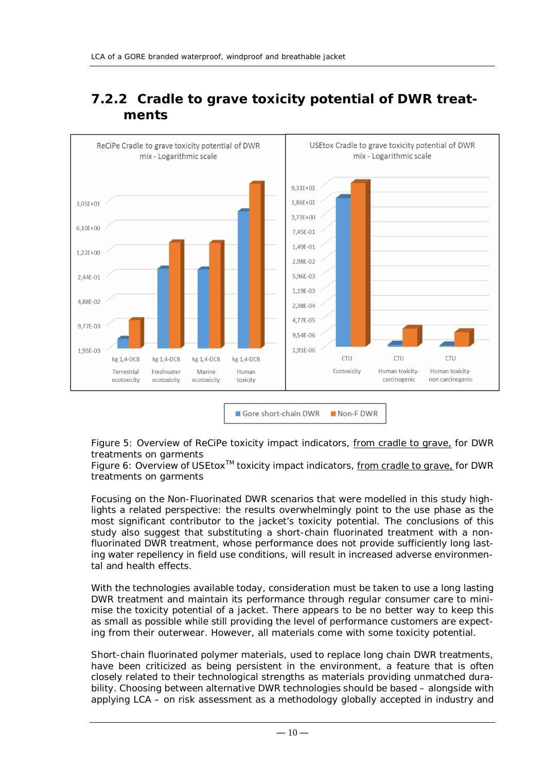

### **7.2.2 Cradle to grave toxicity potential of DWR treatments**

Non-FDWR Gore short-chain DWR

Figure 5: Overview of ReCiPe toxicity impact indicators, from cradle to grave, for DWR treatments on garments

Figure 6: Overview of USEtox<sup>™</sup> toxicity impact indicators, from cradle to grave, for DWR treatments on garments

Focusing on the Non-Fluorinated DWR scenarios that were modelled in this study highlights a related perspective: the results overwhelmingly point to the use phase as the most significant contributor to the jacket's toxicity potential. The conclusions of this study also suggest that substituting a short-chain fluorinated treatment with a nonfluorinated DWR treatment, whose performance does not provide sufficiently long lasting water repellency in field use conditions, will result in increased adverse environmental and health effects.

With the technologies available today, consideration must be taken to use a long lasting DWR treatment and maintain its performance through regular consumer care to minimise the toxicity potential of a jacket. There appears to be no better way to keep this as small as possible while still providing the level of performance customers are expecting from their outerwear. However, all materials come with some toxicity potential.

Short-chain fluorinated polymer materials, used to replace long chain DWR treatments, have been criticized as being persistent in the environment, a feature that is often closely related to their technological strengths as materials providing unmatched durability. Choosing between alternative DWR technologies should be based – alongside with applying LCA – on risk assessment as a methodology globally accepted in industry and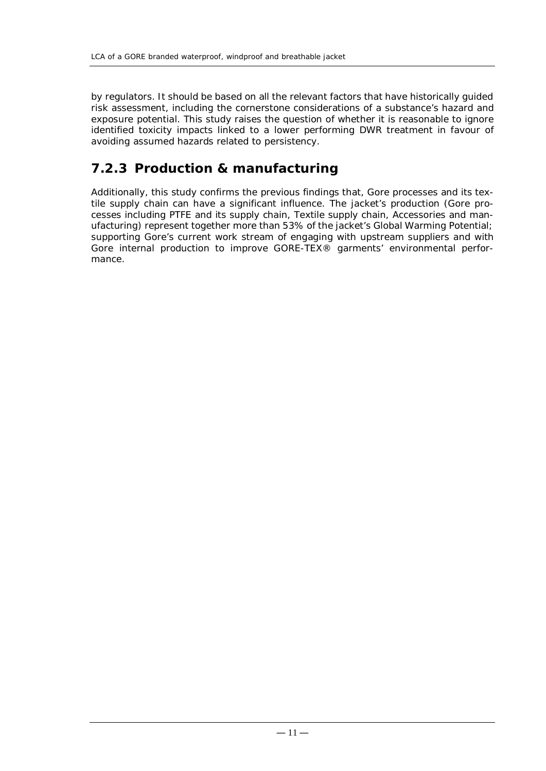by regulators. It should be based on all the relevant factors that have historically guided risk assessment, including the cornerstone considerations of a substance's hazard and exposure potential. This study raises the question of whether it is reasonable to ignore identified toxicity impacts linked to a lower performing DWR treatment in favour of avoiding assumed hazards related to persistency.

#### **7.2.3 Production & manufacturing**

Additionally, this study confirms the previous findings that, Gore processes and its textile supply chain can have a significant influence. The jacket's production (Gore processes including PTFE and its supply chain, Textile supply chain, Accessories and manufacturing) represent together more than 53% of the jacket's Global Warming Potential; supporting Gore's current work stream of engaging with upstream suppliers and with Gore internal production to improve GORE-TEX® garments' environmental performance.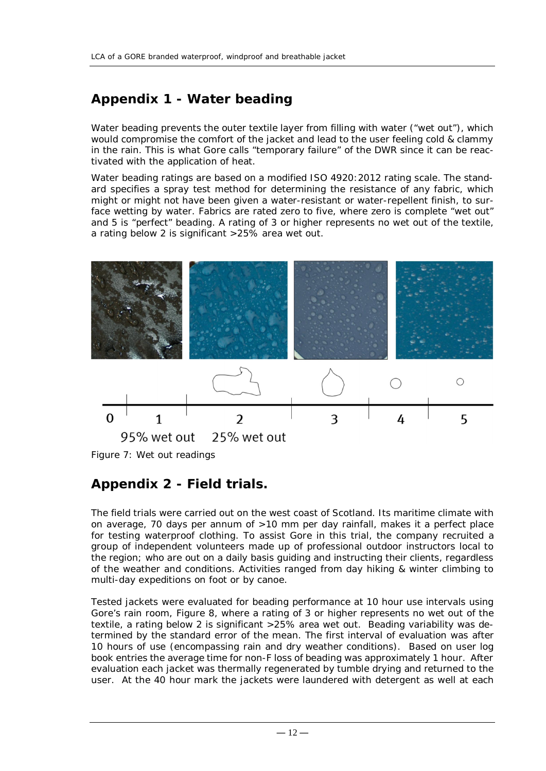### **Appendix 1 - Water beading**

Water beading prevents the outer textile layer from filling with water ("wet out"), which would compromise the comfort of the jacket and lead to the user feeling cold & clammy in the rain. This is what Gore calls "temporary failure" of the DWR since it can be reactivated with the application of heat.

Water beading ratings are based on a modified ISO 4920: 2012 rating scale. The standard specifies a spray test method for determining the resistance of any fabric, which might or might not have been given a water-resistant or water-repellent finish, to surface wetting by water. Fabrics are rated zero to five, where zero is complete "wet out" and 5 is "perfect" beading. A rating of 3 or higher represents no wet out of the textile, a rating below 2 is significant >25% area wet out.



Figure 7: Wet out readings

#### **Appendix 2 - Field trials.**

The field trials were carried out on the west coast of Scotland. Its maritime climate with on average, 70 days per annum of >10 mm per day rainfall, makes it a perfect place for testing waterproof clothing. To assist Gore in this trial, the company recruited a group of independent volunteers made up of professional outdoor instructors local to the region; who are out on a daily basis guiding and instructing their clients, regardless of the weather and conditions. Activities ranged from day hiking & winter climbing to multi-day expeditions on foot or by canoe.

Tested jackets were evaluated for beading performance at 10 hour use intervals using Gore's rain room, Figure 8, where a rating of 3 or higher represents no wet out of the textile, a rating below 2 is significant >25% area wet out. Beading variability was determined by the standard error of the mean. The first interval of evaluation was after 10 hours of use (encompassing rain and dry weather conditions). Based on user log book entries the average time for non-F loss of beading was approximately 1 hour. After evaluation each jacket was thermally regenerated by tumble drying and returned to the user. At the 40 hour mark the jackets were laundered with detergent as well at each